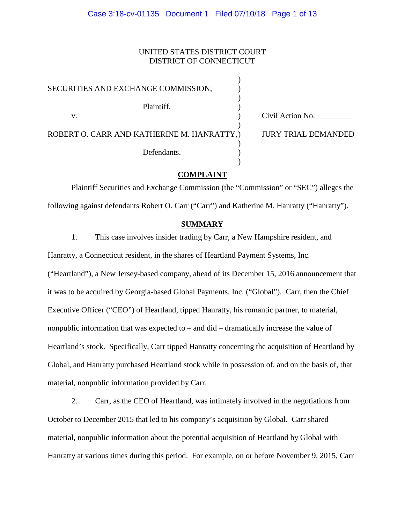# UNITED STATES DISTRICT COURT DISTRICT OF CONNECTICUT

| SECURITIES AND EXCHANGE COMMISSION,         |                            |
|---------------------------------------------|----------------------------|
| Plaintiff,<br>v.                            | Civil Action No.           |
| ROBERT O. CARR AND KATHERINE M. HANRATTY, ) | <b>JURY TRIAL DEMANDED</b> |
| Defendants.                                 |                            |
|                                             |                            |

## **COMPLAINT**

Plaintiff Securities and Exchange Commission (the "Commission" or "SEC") alleges the following against defendants Robert O. Carr ("Carr") and Katherine M. Hanratty ("Hanratty").

### **SUMMARY**

1. This case involves insider trading by Carr, a New Hampshire resident, and

Hanratty, a Connecticut resident, in the shares of Heartland Payment Systems, Inc.

("Heartland"), a New Jersey-based company, ahead of its December 15, 2016 announcement that it was to be acquired by Georgia-based Global Payments, Inc. ("Global"). Carr, then the Chief Executive Officer ("CEO") of Heartland, tipped Hanratty, his romantic partner, to material, nonpublic information that was expected to – and did – dramatically increase the value of Heartland's stock. Specifically, Carr tipped Hanratty concerning the acquisition of Heartland by Global, and Hanratty purchased Heartland stock while in possession of, and on the basis of, that material, nonpublic information provided by Carr.

2. Carr, as the CEO of Heartland, was intimately involved in the negotiations from October to December 2015 that led to his company's acquisition by Global. Carr shared material, nonpublic information about the potential acquisition of Heartland by Global with Hanratty at various times during this period. For example, on or before November 9, 2015, Carr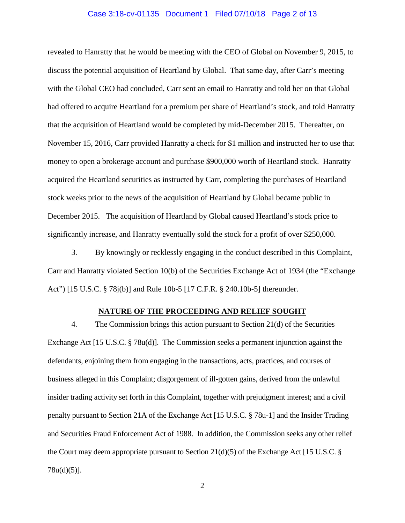#### Case 3:18-cv-01135 Document 1 Filed 07/10/18 Page 2 of 13

revealed to Hanratty that he would be meeting with the CEO of Global on November 9, 2015, to discuss the potential acquisition of Heartland by Global. That same day, after Carr's meeting with the Global CEO had concluded, Carr sent an email to Hanratty and told her on that Global had offered to acquire Heartland for a premium per share of Heartland's stock, and told Hanratty that the acquisition of Heartland would be completed by mid-December 2015. Thereafter, on November 15, 2016, Carr provided Hanratty a check for \$1 million and instructed her to use that money to open a brokerage account and purchase \$900,000 worth of Heartland stock. Hanratty acquired the Heartland securities as instructed by Carr, completing the purchases of Heartland stock weeks prior to the news of the acquisition of Heartland by Global became public in December 2015. The acquisition of Heartland by Global caused Heartland's stock price to significantly increase, and Hanratty eventually sold the stock for a profit of over \$250,000.

3. By knowingly or recklessly engaging in the conduct described in this Complaint, Carr and Hanratty violated Section 10(b) of the Securities Exchange Act of 1934 (the "Exchange Act") [15 U.S.C. § 78j(b)] and Rule 10b-5 [17 C.F.R. § 240.10b-5] thereunder.

#### **NATURE OF THE PROCEEDING AND RELIEF SOUGHT**

4. The Commission brings this action pursuant to Section 21(d) of the Securities Exchange Act [15 U.S.C. § 78u(d)]. The Commission seeks a permanent injunction against the defendants, enjoining them from engaging in the transactions, acts, practices, and courses of business alleged in this Complaint; disgorgement of ill-gotten gains, derived from the unlawful insider trading activity set forth in this Complaint, together with prejudgment interest; and a civil penalty pursuant to Section 21A of the Exchange Act [15 U.S.C. § 78u-1] and the Insider Trading and Securities Fraud Enforcement Act of 1988. In addition, the Commission seeks any other relief the Court may deem appropriate pursuant to Section  $21(d)(5)$  of the Exchange Act [15 U.S.C. § 78u(d)(5)].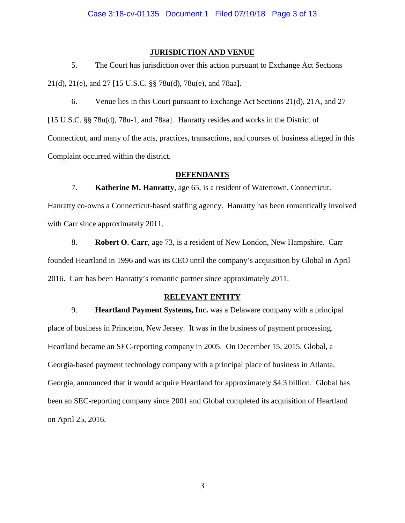## **JURISDICTION AND VENUE**

5. The Court has jurisdiction over this action pursuant to Exchange Act Sections 21(d), 21(e), and 27 [15 U.S.C. §§ 78u(d), 78u(e), and 78aa].

6. Venue lies in this Court pursuant to Exchange Act Sections 21(d), 21A, and 27 [15 U.S.C. §§ 78u(d), 78u-1, and 78aa]. Hanratty resides and works in the District of Connecticut, and many of the acts, practices, transactions, and courses of business alleged in this Complaint occurred within the district.

## **DEFENDANTS**

7. **Katherine M. Hanratty**, age 65, is a resident of Watertown, Connecticut. Hanratty co-owns a Connecticut-based staffing agency. Hanratty has been romantically involved with Carr since approximately 2011.

8. **Robert O. Carr**, age 73, is a resident of New London, New Hampshire. Carr founded Heartland in 1996 and was its CEO until the company's acquisition by Global in April 2016. Carr has been Hanratty's romantic partner since approximately 2011.

# **RELEVANT ENTITY**

9. **Heartland Payment Systems, Inc.** was a Delaware company with a principal place of business in Princeton, New Jersey. It was in the business of payment processing. Heartland became an SEC-reporting company in 2005. On December 15, 2015, Global, a Georgia-based payment technology company with a principal place of business in Atlanta, Georgia, announced that it would acquire Heartland for approximately \$4.3 billion. Global has been an SEC-reporting company since 2001 and Global completed its acquisition of Heartland on April 25, 2016.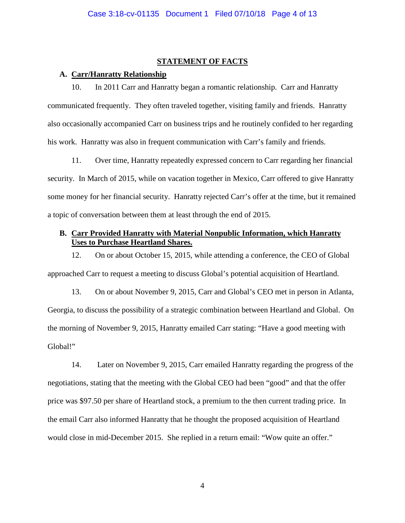#### **STATEMENT OF FACTS**

### **A. Carr/Hanratty Relationship**

10. In 2011 Carr and Hanratty began a romantic relationship. Carr and Hanratty communicated frequently. They often traveled together, visiting family and friends. Hanratty also occasionally accompanied Carr on business trips and he routinely confided to her regarding his work. Hanratty was also in frequent communication with Carr's family and friends.

11. Over time, Hanratty repeatedly expressed concern to Carr regarding her financial security. In March of 2015, while on vacation together in Mexico, Carr offered to give Hanratty some money for her financial security. Hanratty rejected Carr's offer at the time, but it remained a topic of conversation between them at least through the end of 2015.

# **B. Carr Provided Hanratty with Material Nonpublic Information, which Hanratty Uses to Purchase Heartland Shares.**

12. On or about October 15, 2015, while attending a conference, the CEO of Global approached Carr to request a meeting to discuss Global's potential acquisition of Heartland.

13. On or about November 9, 2015, Carr and Global's CEO met in person in Atlanta, Georgia, to discuss the possibility of a strategic combination between Heartland and Global. On the morning of November 9, 2015, Hanratty emailed Carr stating: "Have a good meeting with Global!"

14. Later on November 9, 2015, Carr emailed Hanratty regarding the progress of the negotiations, stating that the meeting with the Global CEO had been "good" and that the offer price was \$97.50 per share of Heartland stock, a premium to the then current trading price. In the email Carr also informed Hanratty that he thought the proposed acquisition of Heartland would close in mid-December 2015. She replied in a return email: "Wow quite an offer."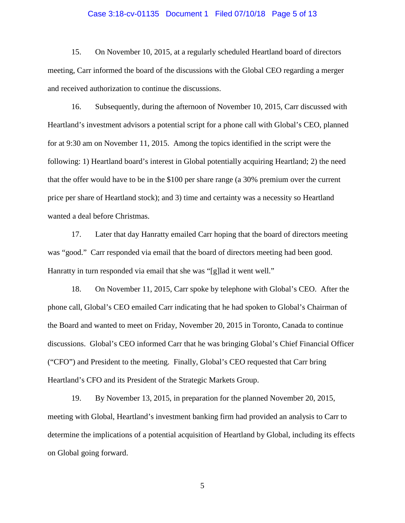#### Case 3:18-cv-01135 Document 1 Filed 07/10/18 Page 5 of 13

15. On November 10, 2015, at a regularly scheduled Heartland board of directors meeting, Carr informed the board of the discussions with the Global CEO regarding a merger and received authorization to continue the discussions.

16. Subsequently, during the afternoon of November 10, 2015, Carr discussed with Heartland's investment advisors a potential script for a phone call with Global's CEO, planned for at 9:30 am on November 11, 2015. Among the topics identified in the script were the following: 1) Heartland board's interest in Global potentially acquiring Heartland; 2) the need that the offer would have to be in the \$100 per share range (a 30% premium over the current price per share of Heartland stock); and 3) time and certainty was a necessity so Heartland wanted a deal before Christmas.

17. Later that day Hanratty emailed Carr hoping that the board of directors meeting was "good." Carr responded via email that the board of directors meeting had been good. Hanratty in turn responded via email that she was "[g]lad it went well."

18. On November 11, 2015, Carr spoke by telephone with Global's CEO. After the phone call, Global's CEO emailed Carr indicating that he had spoken to Global's Chairman of the Board and wanted to meet on Friday, November 20, 2015 in Toronto, Canada to continue discussions. Global's CEO informed Carr that he was bringing Global's Chief Financial Officer ("CFO") and President to the meeting. Finally, Global's CEO requested that Carr bring Heartland's CFO and its President of the Strategic Markets Group.

19. By November 13, 2015, in preparation for the planned November 20, 2015, meeting with Global, Heartland's investment banking firm had provided an analysis to Carr to determine the implications of a potential acquisition of Heartland by Global, including its effects on Global going forward.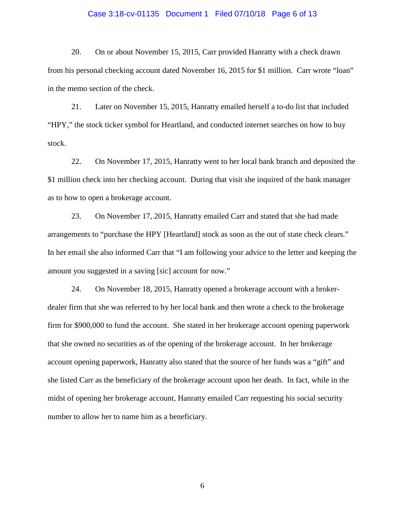#### Case 3:18-cv-01135 Document 1 Filed 07/10/18 Page 6 of 13

20. On or about November 15, 2015, Carr provided Hanratty with a check drawn from his personal checking account dated November 16, 2015 for \$1 million. Carr wrote "loan" in the memo section of the check.

21. Later on November 15, 2015, Hanratty emailed herself a to-do list that included "HPY," the stock ticker symbol for Heartland, and conducted internet searches on how to buy stock.

22. On November 17, 2015, Hanratty went to her local bank branch and deposited the \$1 million check into her checking account. During that visit she inquired of the bank manager as to how to open a brokerage account.

23. On November 17, 2015, Hanratty emailed Carr and stated that she had made arrangements to "purchase the HPY [Heartland] stock as soon as the out of state check clears." In her email she also informed Carr that "I am following your advice to the letter and keeping the amount you suggested in a saving [sic] account for now."

24. On November 18, 2015, Hanratty opened a brokerage account with a brokerdealer firm that she was referred to by her local bank and then wrote a check to the brokerage firm for \$900,000 to fund the account. She stated in her brokerage account opening paperwork that she owned no securities as of the opening of the brokerage account. In her brokerage account opening paperwork, Hanratty also stated that the source of her funds was a "gift" and she listed Carr as the beneficiary of the brokerage account upon her death. In fact, while in the midst of opening her brokerage account, Hanratty emailed Carr requesting his social security number to allow her to name him as a beneficiary.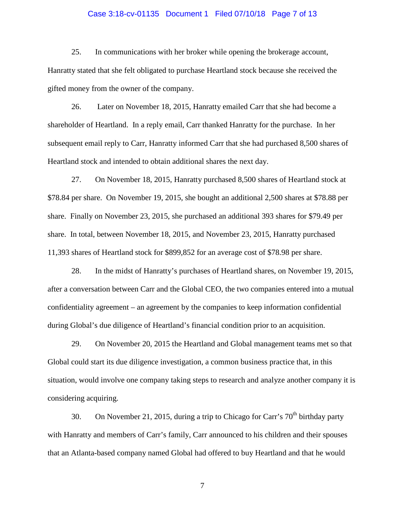#### Case 3:18-cv-01135 Document 1 Filed 07/10/18 Page 7 of 13

25. In communications with her broker while opening the brokerage account, Hanratty stated that she felt obligated to purchase Heartland stock because she received the gifted money from the owner of the company.

26. Later on November 18, 2015, Hanratty emailed Carr that she had become a shareholder of Heartland. In a reply email, Carr thanked Hanratty for the purchase. In her subsequent email reply to Carr, Hanratty informed Carr that she had purchased 8,500 shares of Heartland stock and intended to obtain additional shares the next day.

27. On November 18, 2015, Hanratty purchased 8,500 shares of Heartland stock at \$78.84 per share. On November 19, 2015, she bought an additional 2,500 shares at \$78.88 per share. Finally on November 23, 2015, she purchased an additional 393 shares for \$79.49 per share. In total, between November 18, 2015, and November 23, 2015, Hanratty purchased 11,393 shares of Heartland stock for \$899,852 for an average cost of \$78.98 per share.

28. In the midst of Hanratty's purchases of Heartland shares, on November 19, 2015, after a conversation between Carr and the Global CEO, the two companies entered into a mutual confidentiality agreement – an agreement by the companies to keep information confidential during Global's due diligence of Heartland's financial condition prior to an acquisition.

29. On November 20, 2015 the Heartland and Global management teams met so that Global could start its due diligence investigation, a common business practice that, in this situation, would involve one company taking steps to research and analyze another company it is considering acquiring.

30. On November 21, 2015, during a trip to Chicago for Carr's  $70<sup>th</sup>$  birthday party with Hanratty and members of Carr's family, Carr announced to his children and their spouses that an Atlanta-based company named Global had offered to buy Heartland and that he would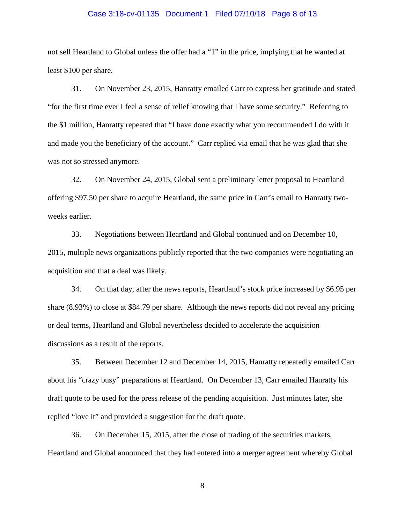#### Case 3:18-cv-01135 Document 1 Filed 07/10/18 Page 8 of 13

not sell Heartland to Global unless the offer had a "1" in the price, implying that he wanted at least \$100 per share.

31. On November 23, 2015, Hanratty emailed Carr to express her gratitude and stated "for the first time ever I feel a sense of relief knowing that I have some security." Referring to the \$1 million, Hanratty repeated that "I have done exactly what you recommended I do with it and made you the beneficiary of the account." Carr replied via email that he was glad that she was not so stressed anymore.

32. On November 24, 2015, Global sent a preliminary letter proposal to Heartland offering \$97.50 per share to acquire Heartland, the same price in Carr's email to Hanratty twoweeks earlier.

33. Negotiations between Heartland and Global continued and on December 10, 2015, multiple news organizations publicly reported that the two companies were negotiating an acquisition and that a deal was likely.

34. On that day, after the news reports, Heartland's stock price increased by \$6.95 per share (8.93%) to close at \$84.79 per share. Although the news reports did not reveal any pricing or deal terms, Heartland and Global nevertheless decided to accelerate the acquisition discussions as a result of the reports.

35. Between December 12 and December 14, 2015, Hanratty repeatedly emailed Carr about his "crazy busy" preparations at Heartland. On December 13, Carr emailed Hanratty his draft quote to be used for the press release of the pending acquisition. Just minutes later, she replied "love it" and provided a suggestion for the draft quote.

36. On December 15, 2015, after the close of trading of the securities markets, Heartland and Global announced that they had entered into a merger agreement whereby Global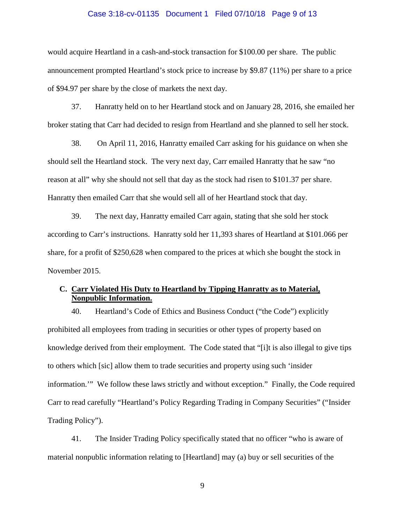#### Case 3:18-cv-01135 Document 1 Filed 07/10/18 Page 9 of 13

would acquire Heartland in a cash-and-stock transaction for \$100.00 per share. The public announcement prompted Heartland's stock price to increase by \$9.87 (11%) per share to a price of \$94.97 per share by the close of markets the next day.

37. Hanratty held on to her Heartland stock and on January 28, 2016, she emailed her broker stating that Carr had decided to resign from Heartland and she planned to sell her stock.

38. On April 11, 2016, Hanratty emailed Carr asking for his guidance on when she should sell the Heartland stock. The very next day, Carr emailed Hanratty that he saw "no reason at all" why she should not sell that day as the stock had risen to \$101.37 per share. Hanratty then emailed Carr that she would sell all of her Heartland stock that day.

39. The next day, Hanratty emailed Carr again, stating that she sold her stock according to Carr's instructions. Hanratty sold her 11,393 shares of Heartland at \$101.066 per share, for a profit of \$250,628 when compared to the prices at which she bought the stock in November 2015.

## **C. Carr Violated His Duty to Heartland by Tipping Hanratty as to Material, Nonpublic Information.**

40. Heartland's Code of Ethics and Business Conduct ("the Code") explicitly prohibited all employees from trading in securities or other types of property based on knowledge derived from their employment. The Code stated that "[i]t is also illegal to give tips to others which [sic] allow them to trade securities and property using such 'insider information.'" We follow these laws strictly and without exception." Finally, the Code required Carr to read carefully "Heartland's Policy Regarding Trading in Company Securities" ("Insider Trading Policy").

41. The Insider Trading Policy specifically stated that no officer "who is aware of material nonpublic information relating to [Heartland] may (a) buy or sell securities of the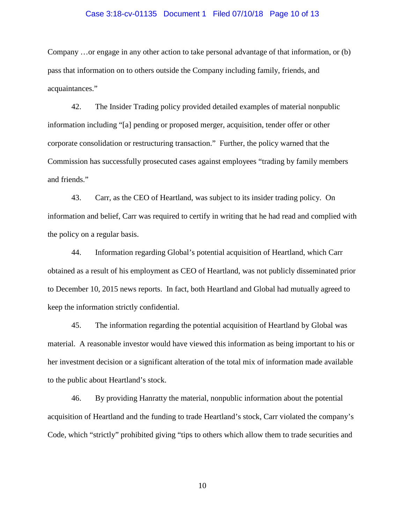#### Case 3:18-cv-01135 Document 1 Filed 07/10/18 Page 10 of 13

Company …or engage in any other action to take personal advantage of that information, or (b) pass that information on to others outside the Company including family, friends, and acquaintances."

42. The Insider Trading policy provided detailed examples of material nonpublic information including "[a] pending or proposed merger, acquisition, tender offer or other corporate consolidation or restructuring transaction." Further, the policy warned that the Commission has successfully prosecuted cases against employees "trading by family members and friends."

43. Carr, as the CEO of Heartland, was subject to its insider trading policy. On information and belief, Carr was required to certify in writing that he had read and complied with the policy on a regular basis.

44. Information regarding Global's potential acquisition of Heartland, which Carr obtained as a result of his employment as CEO of Heartland, was not publicly disseminated prior to December 10, 2015 news reports. In fact, both Heartland and Global had mutually agreed to keep the information strictly confidential.

45. The information regarding the potential acquisition of Heartland by Global was material. A reasonable investor would have viewed this information as being important to his or her investment decision or a significant alteration of the total mix of information made available to the public about Heartland's stock.

46. By providing Hanratty the material, nonpublic information about the potential acquisition of Heartland and the funding to trade Heartland's stock, Carr violated the company's Code, which "strictly" prohibited giving "tips to others which allow them to trade securities and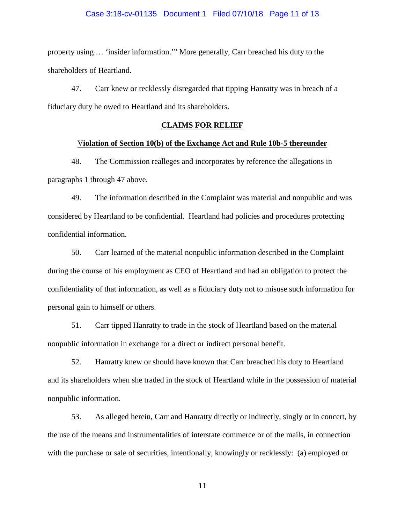#### Case 3:18-cv-01135 Document 1 Filed 07/10/18 Page 11 of 13

property using … 'insider information.'" More generally, Carr breached his duty to the shareholders of Heartland.

47. Carr knew or recklessly disregarded that tipping Hanratty was in breach of a fiduciary duty he owed to Heartland and its shareholders.

### **CLAIMS FOR RELIEF**

#### V**iolation of Section 10(b) of the Exchange Act and Rule 10b-5 thereunder**

48. The Commission realleges and incorporates by reference the allegations in paragraphs 1 through 47 above.

49. The information described in the Complaint was material and nonpublic and was considered by Heartland to be confidential. Heartland had policies and procedures protecting confidential information.

50. Carr learned of the material nonpublic information described in the Complaint during the course of his employment as CEO of Heartland and had an obligation to protect the confidentiality of that information, as well as a fiduciary duty not to misuse such information for personal gain to himself or others.

51. Carr tipped Hanratty to trade in the stock of Heartland based on the material nonpublic information in exchange for a direct or indirect personal benefit.

52. Hanratty knew or should have known that Carr breached his duty to Heartland and its shareholders when she traded in the stock of Heartland while in the possession of material nonpublic information.

53. As alleged herein, Carr and Hanratty directly or indirectly, singly or in concert, by the use of the means and instrumentalities of interstate commerce or of the mails, in connection with the purchase or sale of securities, intentionally, knowingly or recklessly: (a) employed or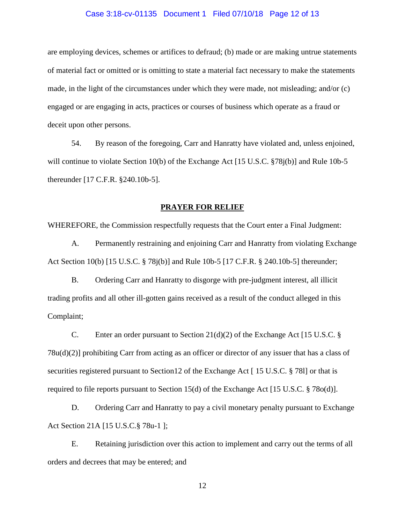#### Case 3:18-cv-01135 Document 1 Filed 07/10/18 Page 12 of 13

are employing devices, schemes or artifices to defraud; (b) made or are making untrue statements of material fact or omitted or is omitting to state a material fact necessary to make the statements made, in the light of the circumstances under which they were made, not misleading; and/or (c) engaged or are engaging in acts, practices or courses of business which operate as a fraud or deceit upon other persons.

54. By reason of the foregoing, Carr and Hanratty have violated and, unless enjoined, will continue to violate Section 10(b) of the Exchange Act [15 U.S.C. §78j(b)] and Rule 10b-5 thereunder [17 C.F.R. §240.10b-5].

### **PRAYER FOR RELIEF**

WHEREFORE, the Commission respectfully requests that the Court enter a Final Judgment:

A. Permanently restraining and enjoining Carr and Hanratty from violating Exchange Act Section 10(b) [15 U.S.C. § 78j(b)] and Rule 10b-5 [17 C.F.R. § 240.10b-5] thereunder;

B. Ordering Carr and Hanratty to disgorge with pre-judgment interest, all illicit trading profits and all other ill-gotten gains received as a result of the conduct alleged in this Complaint;

C. Enter an order pursuant to Section 21(d)(2) of the Exchange Act [15 U.S.C. § 78u(d)(2)] prohibiting Carr from acting as an officer or director of any issuer that has a class of securities registered pursuant to Section12 of the Exchange Act [ 15 U.S.C. § 78l] or that is required to file reports pursuant to Section 15(d) of the Exchange Act [15 U.S.C. § 78o(d)].

D. Ordering Carr and Hanratty to pay a civil monetary penalty pursuant to Exchange Act Section 21A [15 U.S.C.§ 78u-1 ];

E. Retaining jurisdiction over this action to implement and carry out the terms of all orders and decrees that may be entered; and